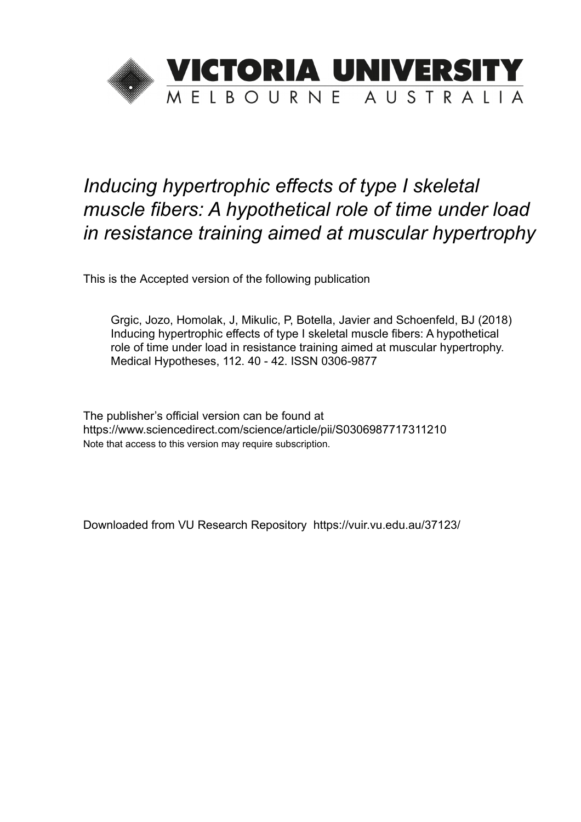

# *Inducing hypertrophic effects of type I skeletal muscle fibers: A hypothetical role of time under load in resistance training aimed at muscular hypertrophy*

This is the Accepted version of the following publication

Grgic, Jozo, Homolak, J, Mikulic, P, Botella, Javier and Schoenfeld, BJ (2018) Inducing hypertrophic effects of type I skeletal muscle fibers: A hypothetical role of time under load in resistance training aimed at muscular hypertrophy. Medical Hypotheses, 112. 40 - 42. ISSN 0306-9877

The publisher's official version can be found at https://www.sciencedirect.com/science/article/pii/S0306987717311210 Note that access to this version may require subscription.

Downloaded from VU Research Repository https://vuir.vu.edu.au/37123/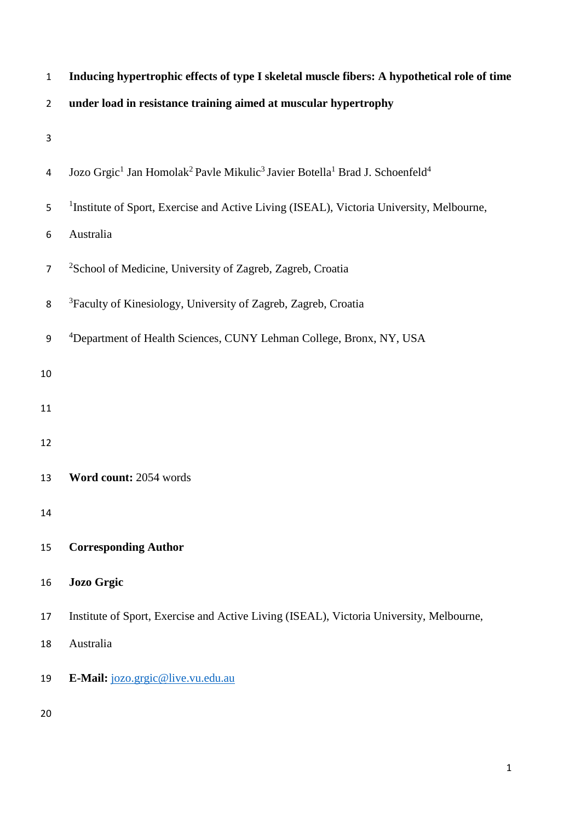| $\mathbf{1}$   | Inducing hypertrophic effects of type I skeletal muscle fibers: A hypothetical role of time                                             |
|----------------|-----------------------------------------------------------------------------------------------------------------------------------------|
| $\overline{2}$ | under load in resistance training aimed at muscular hypertrophy                                                                         |
| 3              |                                                                                                                                         |
| 4              | Jozo Grgic <sup>1</sup> Jan Homolak <sup>2</sup> Pavle Mikulic <sup>3</sup> Javier Botella <sup>1</sup> Brad J. Schoenfeld <sup>4</sup> |
| 5              | <sup>1</sup> Institute of Sport, Exercise and Active Living (ISEAL), Victoria University, Melbourne,                                    |
| 6              | Australia                                                                                                                               |
| $\overline{7}$ | <sup>2</sup> School of Medicine, University of Zagreb, Zagreb, Croatia                                                                  |
| 8              | <sup>3</sup> Faculty of Kinesiology, University of Zagreb, Zagreb, Croatia                                                              |
| 9              | <sup>4</sup> Department of Health Sciences, CUNY Lehman College, Bronx, NY, USA                                                         |
| 10             |                                                                                                                                         |
| 11             |                                                                                                                                         |
| 12             |                                                                                                                                         |
| 13             | Word count: 2054 words                                                                                                                  |
| 14             |                                                                                                                                         |
| 15             | <b>Corresponding Author</b>                                                                                                             |
| 16             | <b>Jozo Grgic</b>                                                                                                                       |
| 17             | Institute of Sport, Exercise and Active Living (ISEAL), Victoria University, Melbourne,                                                 |
| 18             | Australia                                                                                                                               |
| 19             | E-Mail: jozo.grgic@live.vu.edu.au                                                                                                       |
| 20             |                                                                                                                                         |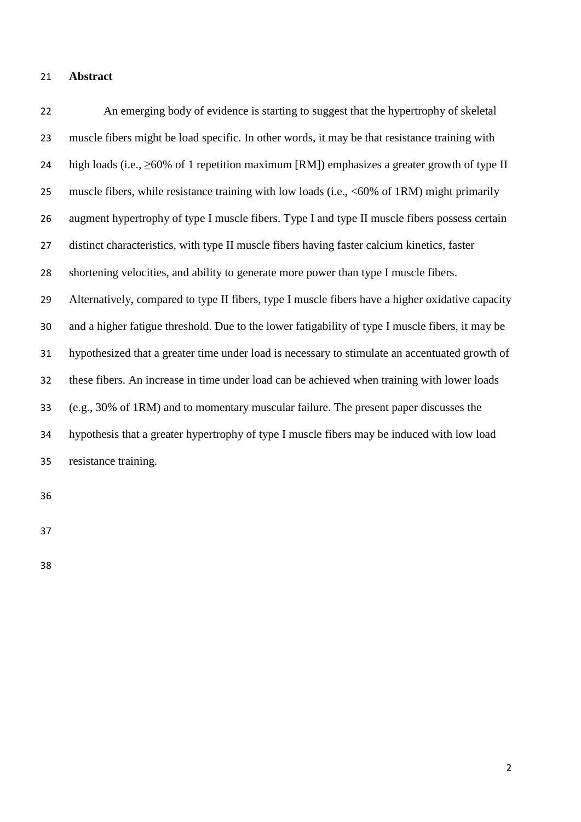## **Abstract**

 An emerging body of evidence is starting to suggest that the hypertrophy of skeletal muscle fibers might be load specific. In other words, it may be that resistance training with 24 high loads (i.e.,  $\geq 60\%$  of 1 repetition maximum [RM]) emphasizes a greater growth of type II muscle fibers, while resistance training with low loads (i.e., <60% of 1RM) might primarily augment hypertrophy of type I muscle fibers. Type I and type II muscle fibers possess certain distinct characteristics, with type II muscle fibers having faster calcium kinetics, faster shortening velocities, and ability to generate more power than type I muscle fibers. Alternatively, compared to type II fibers, type I muscle fibers have a higher oxidative capacity and a higher fatigue threshold. Due to the lower fatigability of type I muscle fibers, it may be hypothesized that a greater time under load is necessary to stimulate an accentuated growth of these fibers. An increase in time under load can be achieved when training with lower loads (e.g., 30% of 1RM) and to momentary muscular failure. The present paper discusses the hypothesis that a greater hypertrophy of type I muscle fibers may be induced with low load resistance training.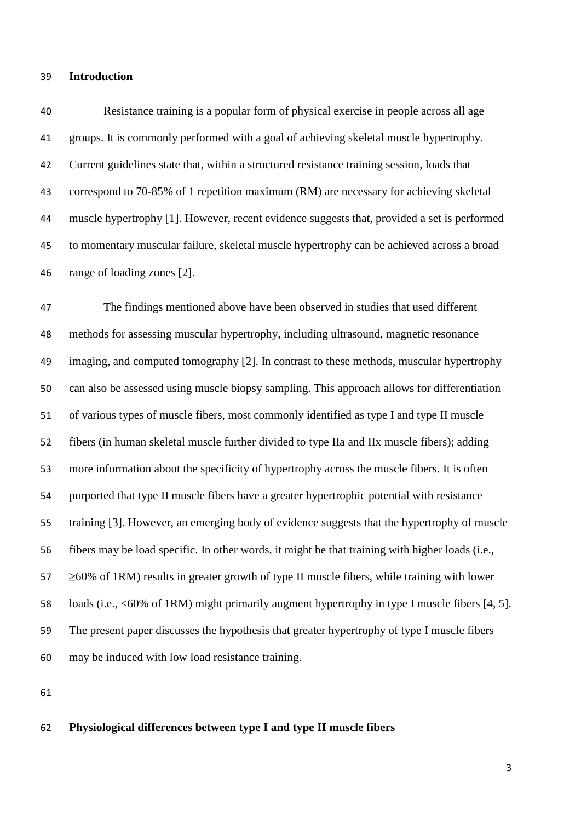### **Introduction**

 Resistance training is a popular form of physical exercise in people across all age groups. It is commonly performed with a goal of achieving skeletal muscle hypertrophy. Current guidelines state that, within a structured resistance training session, loads that correspond to 70-85% of 1 repetition maximum (RM) are necessary for achieving skeletal muscle hypertrophy [1]. However, recent evidence suggests that, provided a set is performed to momentary muscular failure, skeletal muscle hypertrophy can be achieved across a broad range of loading zones [2].

 The findings mentioned above have been observed in studies that used different methods for assessing muscular hypertrophy, including ultrasound, magnetic resonance imaging, and computed tomography [2]. In contrast to these methods, muscular hypertrophy can also be assessed using muscle biopsy sampling. This approach allows for differentiation of various types of muscle fibers, most commonly identified as type I and type II muscle fibers (in human skeletal muscle further divided to type IIa and IIx muscle fibers); adding more information about the specificity of hypertrophy across the muscle fibers. It is often purported that type II muscle fibers have a greater hypertrophic potential with resistance training [3]. However, an emerging body of evidence suggests that the hypertrophy of muscle fibers may be load specific. In other words, it might be that training with higher loads (i.e.,  $\geq$   $\leq$   $\leq$   $\leq$  0% of 1RM) results in greater growth of type II muscle fibers, while training with lower loads (i.e., <60% of 1RM) might primarily augment hypertrophy in type I muscle fibers [4, 5]. The present paper discusses the hypothesis that greater hypertrophy of type I muscle fibers may be induced with low load resistance training.

#### **Physiological differences between type I and type II muscle fibers**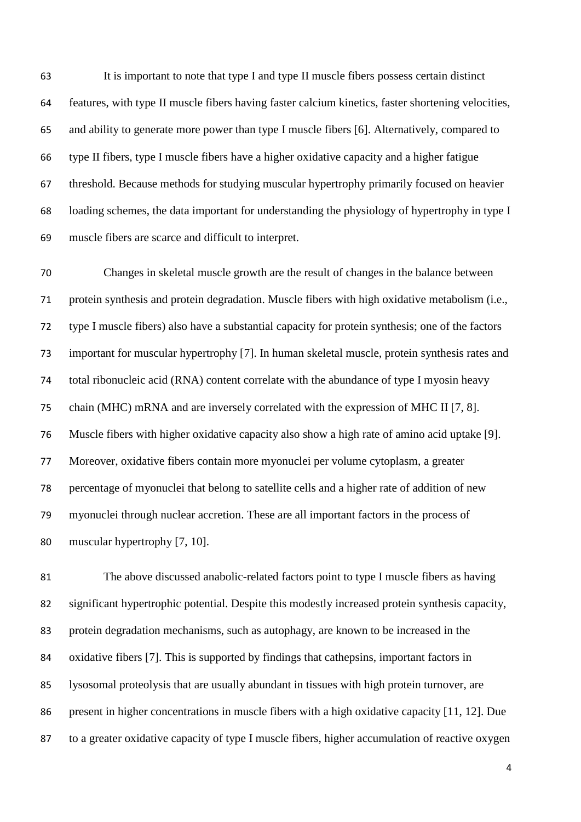It is important to note that type I and type II muscle fibers possess certain distinct features, with type II muscle fibers having faster calcium kinetics, faster shortening velocities, and ability to generate more power than type I muscle fibers [6]. Alternatively, compared to type II fibers, type I muscle fibers have a higher oxidative capacity and a higher fatigue threshold. Because methods for studying muscular hypertrophy primarily focused on heavier loading schemes, the data important for understanding the physiology of hypertrophy in type I muscle fibers are scarce and difficult to interpret.

 Changes in skeletal muscle growth are the result of changes in the balance between protein synthesis and protein degradation. Muscle fibers with high oxidative metabolism (i.e., type I muscle fibers) also have a substantial capacity for protein synthesis; one of the factors important for muscular hypertrophy [7]. In human skeletal muscle, protein synthesis rates and total ribonucleic acid (RNA) content correlate with the abundance of type I myosin heavy chain (MHC) mRNA and are inversely correlated with the expression of MHC II [7, 8]. Muscle fibers with higher oxidative capacity also show a high rate of amino acid uptake [9]. Moreover, oxidative fibers contain more myonuclei per volume cytoplasm, a greater percentage of myonuclei that belong to satellite cells and a higher rate of addition of new myonuclei through nuclear accretion. These are all important factors in the process of muscular hypertrophy [7, 10].

 The above discussed anabolic-related factors point to type I muscle fibers as having significant hypertrophic potential. Despite this modestly increased protein synthesis capacity, protein degradation mechanisms, such as autophagy, are known to be increased in the oxidative fibers [7]. This is supported by findings that cathepsins, important factors in lysosomal proteolysis that are usually abundant in tissues with high protein turnover, are present in higher concentrations in muscle fibers with a high oxidative capacity [11, 12]. Due to a greater oxidative capacity of type I muscle fibers, higher accumulation of reactive oxygen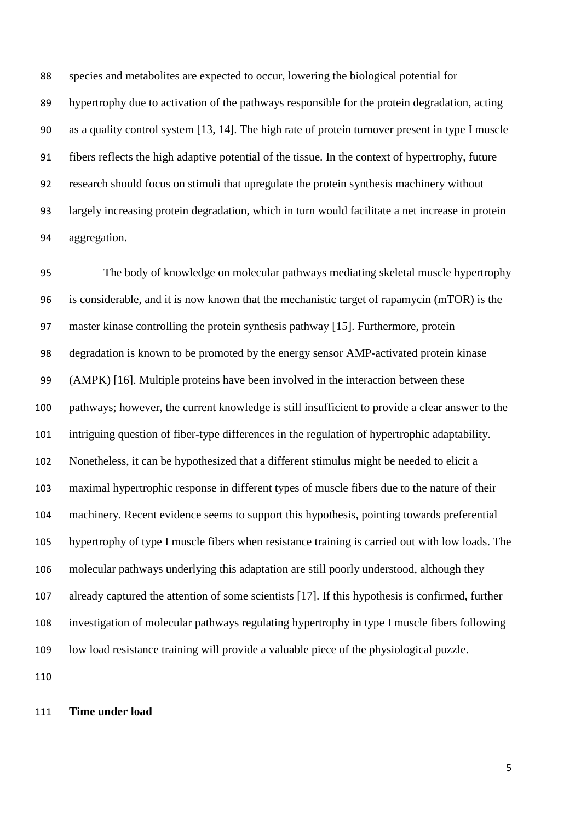species and metabolites are expected to occur, lowering the biological potential for hypertrophy due to activation of the pathways responsible for the protein degradation, acting as a quality control system [13, 14]. The high rate of protein turnover present in type I muscle fibers reflects the high adaptive potential of the tissue. In the context of hypertrophy, future research should focus on stimuli that upregulate the protein synthesis machinery without largely increasing protein degradation, which in turn would facilitate a net increase in protein aggregation.

 The body of knowledge on molecular pathways mediating skeletal muscle hypertrophy is considerable, and it is now known that the mechanistic target of rapamycin (mTOR) is the master kinase controlling the protein synthesis pathway [15]. Furthermore, protein degradation is known to be promoted by the energy sensor AMP-activated protein kinase (AMPK) [16]. Multiple proteins have been involved in the interaction between these pathways; however, the current knowledge is still insufficient to provide a clear answer to the intriguing question of fiber-type differences in the regulation of hypertrophic adaptability. Nonetheless, it can be hypothesized that a different stimulus might be needed to elicit a maximal hypertrophic response in different types of muscle fibers due to the nature of their machinery. Recent evidence seems to support this hypothesis, pointing towards preferential hypertrophy of type I muscle fibers when resistance training is carried out with low loads. The molecular pathways underlying this adaptation are still poorly understood, although they already captured the attention of some scientists [17]. If this hypothesis is confirmed, further investigation of molecular pathways regulating hypertrophy in type I muscle fibers following low load resistance training will provide a valuable piece of the physiological puzzle. 

**Time under load**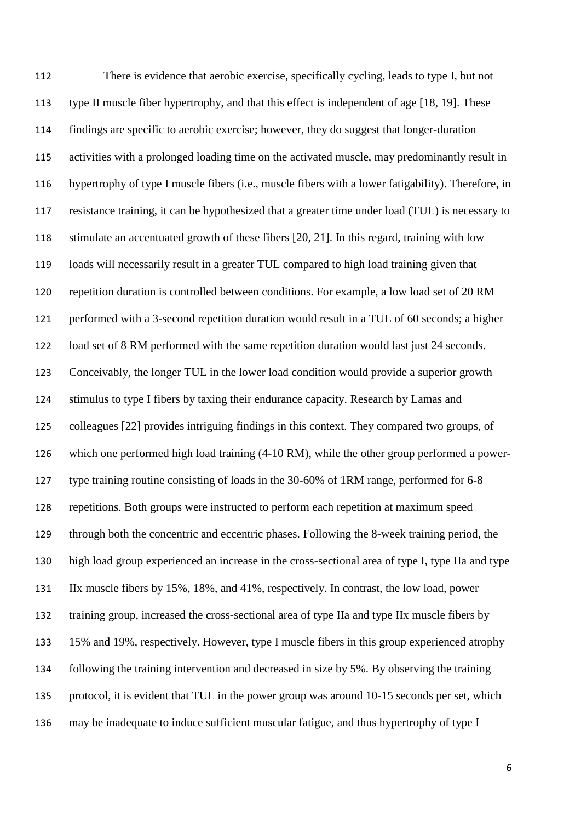There is evidence that aerobic exercise, specifically cycling, leads to type I, but not type II muscle fiber hypertrophy, and that this effect is independent of age [18, 19]. These findings are specific to aerobic exercise; however, they do suggest that longer-duration activities with a prolonged loading time on the activated muscle, may predominantly result in hypertrophy of type I muscle fibers (i.e., muscle fibers with a lower fatigability). Therefore, in resistance training, it can be hypothesized that a greater time under load (TUL) is necessary to stimulate an accentuated growth of these fibers [20, 21]. In this regard, training with low loads will necessarily result in a greater TUL compared to high load training given that repetition duration is controlled between conditions. For example, a low load set of 20 RM performed with a 3-second repetition duration would result in a TUL of 60 seconds; a higher load set of 8 RM performed with the same repetition duration would last just 24 seconds. Conceivably, the longer TUL in the lower load condition would provide a superior growth stimulus to type I fibers by taxing their endurance capacity. Research by Lamas and colleagues [22] provides intriguing findings in this context. They compared two groups, of which one performed high load training (4-10 RM), while the other group performed a power- type training routine consisting of loads in the 30-60% of 1RM range, performed for 6-8 repetitions. Both groups were instructed to perform each repetition at maximum speed through both the concentric and eccentric phases. Following the 8-week training period, the high load group experienced an increase in the cross-sectional area of type I, type IIa and type IIx muscle fibers by 15%, 18%, and 41%, respectively. In contrast, the low load, power training group, increased the cross-sectional area of type IIa and type IIx muscle fibers by 15% and 19%, respectively. However, type I muscle fibers in this group experienced atrophy following the training intervention and decreased in size by 5%. By observing the training protocol, it is evident that TUL in the power group was around 10-15 seconds per set, which may be inadequate to induce sufficient muscular fatigue, and thus hypertrophy of type I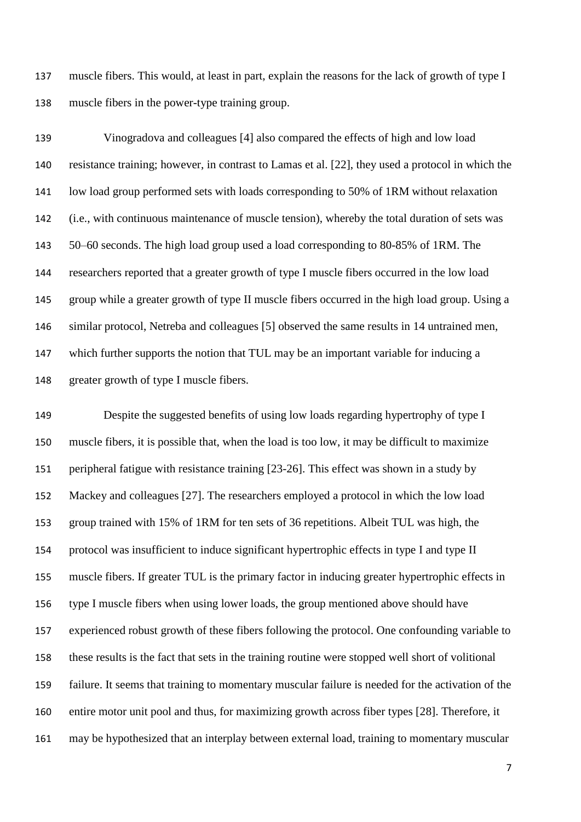muscle fibers. This would, at least in part, explain the reasons for the lack of growth of type I muscle fibers in the power-type training group.

 Vinogradova and colleagues [4] also compared the effects of high and low load resistance training; however, in contrast to Lamas et al. [22], they used a protocol in which the low load group performed sets with loads corresponding to 50% of 1RM without relaxation (i.e., with continuous maintenance of muscle tension), whereby the total duration of sets was 50–60 seconds. The high load group used a load corresponding to 80-85% of 1RM. The researchers reported that a greater growth of type I muscle fibers occurred in the low load group while a greater growth of type II muscle fibers occurred in the high load group. Using a similar protocol, Netreba and colleagues [5] observed the same results in 14 untrained men, which further supports the notion that TUL may be an important variable for inducing a greater growth of type I muscle fibers.

 Despite the suggested benefits of using low loads regarding hypertrophy of type I muscle fibers, it is possible that, when the load is too low, it may be difficult to maximize peripheral fatigue with resistance training [23-26]. This effect was shown in a study by Mackey and colleagues [27]. The researchers employed a protocol in which the low load group trained with 15% of 1RM for ten sets of 36 repetitions. Albeit TUL was high, the protocol was insufficient to induce significant hypertrophic effects in type I and type II muscle fibers. If greater TUL is the primary factor in inducing greater hypertrophic effects in type I muscle fibers when using lower loads, the group mentioned above should have experienced robust growth of these fibers following the protocol. One confounding variable to these results is the fact that sets in the training routine were stopped well short of volitional failure. It seems that training to momentary muscular failure is needed for the activation of the entire motor unit pool and thus, for maximizing growth across fiber types [28]. Therefore, it may be hypothesized that an interplay between external load, training to momentary muscular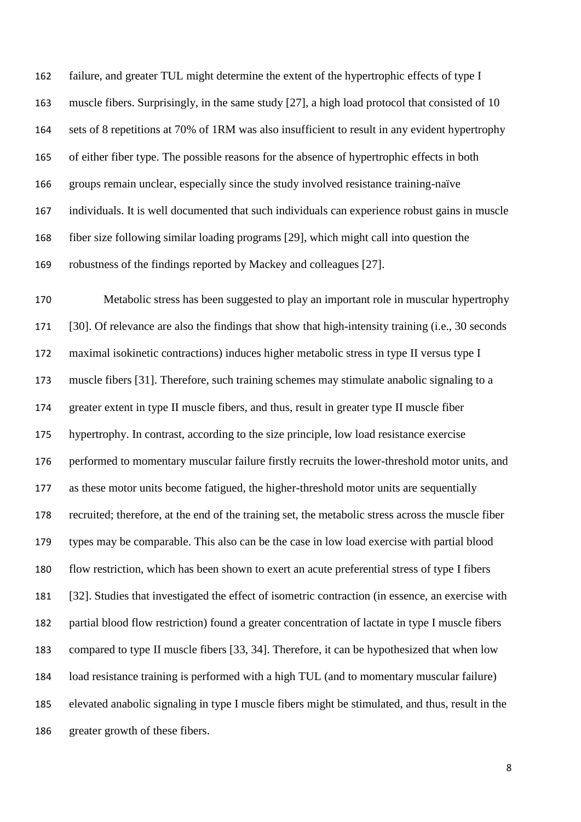failure, and greater TUL might determine the extent of the hypertrophic effects of type I muscle fibers. Surprisingly, in the same study [27], a high load protocol that consisted of 10 sets of 8 repetitions at 70% of 1RM was also insufficient to result in any evident hypertrophy of either fiber type. The possible reasons for the absence of hypertrophic effects in both groups remain unclear, especially since the study involved resistance training-naïve individuals. It is well documented that such individuals can experience robust gains in muscle fiber size following similar loading programs [29], which might call into question the robustness of the findings reported by Mackey and colleagues [27].

 Metabolic stress has been suggested to play an important role in muscular hypertrophy [30]. Of relevance are also the findings that show that high-intensity training (i.e., 30 seconds maximal isokinetic contractions) induces higher metabolic stress in type II versus type I muscle fibers [31]. Therefore, such training schemes may stimulate anabolic signaling to a greater extent in type II muscle fibers, and thus, result in greater type II muscle fiber hypertrophy. In contrast, according to the size principle, low load resistance exercise performed to momentary muscular failure firstly recruits the lower-threshold motor units, and as these motor units become fatigued, the higher-threshold motor units are sequentially recruited; therefore, at the end of the training set, the metabolic stress across the muscle fiber types may be comparable. This also can be the case in low load exercise with partial blood flow restriction, which has been shown to exert an acute preferential stress of type I fibers [32]. Studies that investigated the effect of isometric contraction (in essence, an exercise with partial blood flow restriction) found a greater concentration of lactate in type I muscle fibers compared to type II muscle fibers [33, 34]. Therefore, it can be hypothesized that when low load resistance training is performed with a high TUL (and to momentary muscular failure) elevated anabolic signaling in type I muscle fibers might be stimulated, and thus, result in the greater growth of these fibers.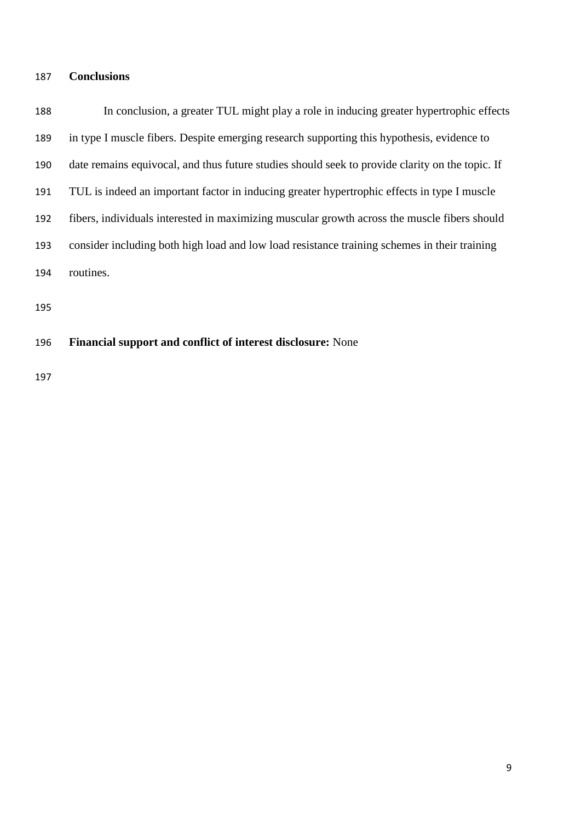## **Conclusions**

 In conclusion, a greater TUL might play a role in inducing greater hypertrophic effects in type I muscle fibers. Despite emerging research supporting this hypothesis, evidence to date remains equivocal, and thus future studies should seek to provide clarity on the topic. If TUL is indeed an important factor in inducing greater hypertrophic effects in type I muscle fibers, individuals interested in maximizing muscular growth across the muscle fibers should consider including both high load and low load resistance training schemes in their training routines.

# **Financial support and conflict of interest disclosure:** None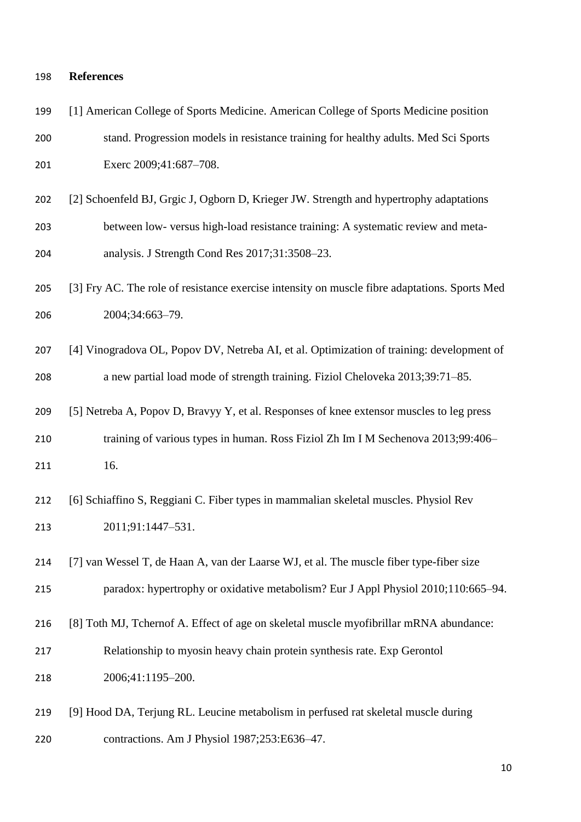# **References**

| 199 | [1] American College of Sports Medicine. American College of Sports Medicine position         |
|-----|-----------------------------------------------------------------------------------------------|
| 200 | stand. Progression models in resistance training for healthy adults. Med Sci Sports           |
| 201 | Exerc 2009;41:687-708.                                                                        |
| 202 | [2] Schoenfeld BJ, Grgic J, Ogborn D, Krieger JW. Strength and hypertrophy adaptations        |
| 203 | between low- versus high-load resistance training: A systematic review and meta-              |
| 204 | analysis. J Strength Cond Res 2017;31:3508-23.                                                |
| 205 | [3] Fry AC. The role of resistance exercise intensity on muscle fibre adaptations. Sports Med |
| 206 | 2004;34:663-79.                                                                               |
| 207 | [4] Vinogradova OL, Popov DV, Netreba AI, et al. Optimization of training: development of     |
| 208 | a new partial load mode of strength training. Fiziol Cheloveka 2013;39:71-85.                 |
| 209 | [5] Netreba A, Popov D, Bravyy Y, et al. Responses of knee extensor muscles to leg press      |
| 210 | training of various types in human. Ross Fiziol Zh Im I M Sechenova 2013;99:406-              |
| 211 | 16.                                                                                           |
| 212 | [6] Schiaffino S, Reggiani C. Fiber types in mammalian skeletal muscles. Physiol Rev          |
| 213 | 2011;91:1447-531.                                                                             |
| 214 | [7] van Wessel T, de Haan A, van der Laarse WJ, et al. The muscle fiber type-fiber size       |
| 215 | paradox: hypertrophy or oxidative metabolism? Eur J Appl Physiol 2010;110:665-94.             |
| 216 | [8] Toth MJ, Tchernof A. Effect of age on skeletal muscle myofibrillar mRNA abundance:        |
| 217 | Relationship to myosin heavy chain protein synthesis rate. Exp Gerontol                       |
| 218 | 2006;41:1195-200.                                                                             |
| 219 | [9] Hood DA, Terjung RL. Leucine metabolism in perfused rat skeletal muscle during            |

contractions. Am J Physiol 1987;253:E636–47.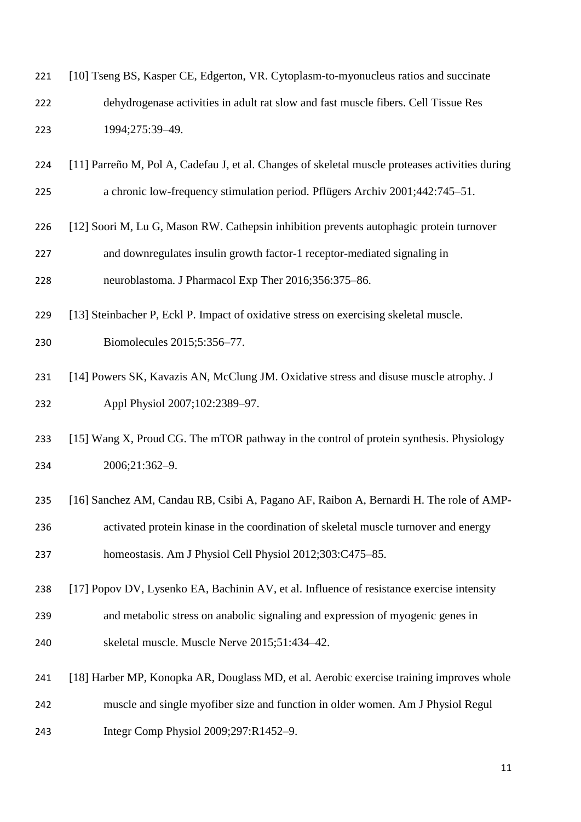| 221 | [10] Tseng BS, Kasper CE, Edgerton, VR. Cytoplasm-to-myonucleus ratios and succinate            |
|-----|-------------------------------------------------------------------------------------------------|
| 222 | dehydrogenase activities in adult rat slow and fast muscle fibers. Cell Tissue Res              |
| 223 | 1994;275:39-49.                                                                                 |
| 224 | [11] Parreño M, Pol A, Cadefau J, et al. Changes of skeletal muscle proteases activities during |
| 225 | a chronic low-frequency stimulation period. Pflügers Archiv 2001;442:745-51.                    |
| 226 | [12] Soori M, Lu G, Mason RW. Cathepsin inhibition prevents autophagic protein turnover         |
| 227 | and downregulates insulin growth factor-1 receptor-mediated signaling in                        |
| 228 | neuroblastoma. J Pharmacol Exp Ther 2016;356:375-86.                                            |
| 229 | [13] Steinbacher P, Eckl P. Impact of oxidative stress on exercising skeletal muscle.           |
| 230 | Biomolecules 2015;5:356-77.                                                                     |
| 231 | [14] Powers SK, Kavazis AN, McClung JM. Oxidative stress and disuse muscle atrophy. J           |
| 232 | Appl Physiol 2007;102:2389-97.                                                                  |
| 233 | [15] Wang X, Proud CG. The mTOR pathway in the control of protein synthesis. Physiology         |
| 234 | 2006;21:362-9.                                                                                  |
| 235 | [16] Sanchez AM, Candau RB, Csibi A, Pagano AF, Raibon A, Bernardi H. The role of AMP-          |
| 236 | activated protein kinase in the coordination of skeletal muscle turnover and energy             |
| 237 | homeostasis. Am J Physiol Cell Physiol 2012;303:C475-85.                                        |
| 238 | [17] Popov DV, Lysenko EA, Bachinin AV, et al. Influence of resistance exercise intensity       |
| 239 | and metabolic stress on anabolic signaling and expression of myogenic genes in                  |
| 240 | skeletal muscle. Muscle Nerve 2015;51:434-42.                                                   |
| 241 | [18] Harber MP, Konopka AR, Douglass MD, et al. Aerobic exercise training improves whole        |
| 242 | muscle and single myofiber size and function in older women. Am J Physiol Regul                 |
| 243 | Integr Comp Physiol 2009;297:R1452-9.                                                           |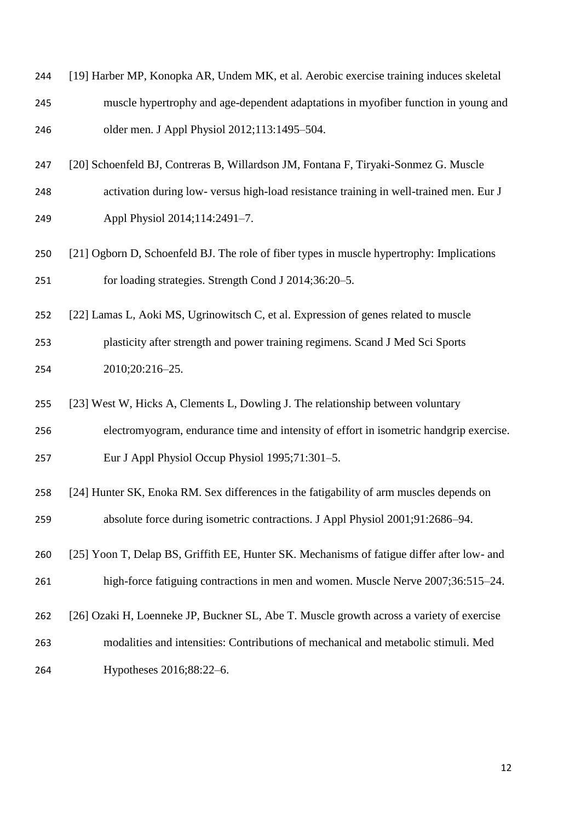| 244 | [19] Harber MP, Konopka AR, Undem MK, et al. Aerobic exercise training induces skeletal |
|-----|-----------------------------------------------------------------------------------------|
| 245 | muscle hypertrophy and age-dependent adaptations in myofiber function in young and      |
| 246 | older men. J Appl Physiol 2012;113:1495–504.                                            |

- [20] Schoenfeld BJ, Contreras B, Willardson JM, Fontana F, Tiryaki-Sonmez G. Muscle
- activation during low- versus high-load resistance training in well-trained men. Eur J Appl Physiol 2014;114:2491–7.
- [21] Ogborn D, Schoenfeld BJ. The role of fiber types in muscle hypertrophy: Implications for loading strategies. Strength Cond J 2014;36:20–5.
- [22] Lamas L, Aoki MS, Ugrinowitsch C, et al. Expression of genes related to muscle plasticity after strength and power training regimens. Scand J Med Sci Sports 2010;20:216–25.
- [23] West W, Hicks A, Clements L, Dowling J. The relationship between voluntary electromyogram, endurance time and intensity of effort in isometric handgrip exercise. Eur J Appl Physiol Occup Physiol 1995;71:301–5.
- [24] Hunter SK, Enoka RM. Sex differences in the fatigability of arm muscles depends on absolute force during isometric contractions. J Appl Physiol 2001;91:2686–94.
- [25] Yoon T, Delap BS, Griffith EE, Hunter SK. Mechanisms of fatigue differ after low- and high-force fatiguing contractions in men and women. Muscle Nerve 2007;36:515–24.
- [26] Ozaki H, Loenneke JP, Buckner SL, Abe T. Muscle growth across a variety of exercise
- modalities and intensities: Contributions of mechanical and metabolic stimuli. Med Hypotheses 2016;88:22–6.